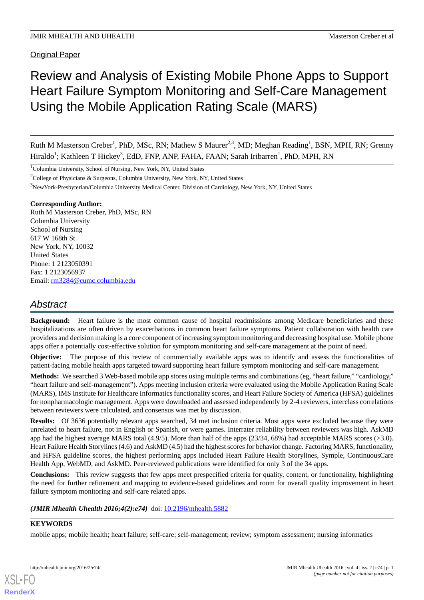# Review and Analysis of Existing Mobile Phone Apps to Support Heart Failure Symptom Monitoring and Self-Care Management Using the Mobile Application Rating Scale (MARS)

Ruth M Masterson Creber<sup>1</sup>, PhD, MSc, RN; Mathew S Maurer<sup>2,3</sup>, MD; Meghan Reading<sup>1</sup>, BSN, MPH, RN; Grenny Hiraldo<sup>1</sup>; Kathleen T Hickey<sup>3</sup>, EdD, FNP, ANP, FAHA, FAAN; Sarah Iribarren<sup>1</sup>, PhD, MPH, RN

<sup>1</sup>Columbia University, School of Nursing, New York, NY, United States

<sup>2</sup>College of Physicians & Surgeons, Columbia University, New York, NY, United States

<sup>3</sup>NewYork-Presbyterian/Columbia University Medical Center, Division of Cardiology, New York, NY, United States

## **Corresponding Author:**

Ruth M Masterson Creber, PhD, MSc, RN Columbia University School of Nursing 617 W 168th St New York, NY, 10032 United States Phone: 1 2123050391 Fax: 1 2123056937 Email: [rm3284@cumc.columbia.edu](mailto:rm3284@cumc.columbia.edu)

## *Abstract*

**Background:** Heart failure is the most common cause of hospital readmissions among Medicare beneficiaries and these hospitalizations are often driven by exacerbations in common heart failure symptoms. Patient collaboration with health care providers and decision making is a core component of increasing symptom monitoring and decreasing hospital use. Mobile phone apps offer a potentially cost-effective solution for symptom monitoring and self-care management at the point of need.

**Objective:** The purpose of this review of commercially available apps was to identify and assess the functionalities of patient-facing mobile health apps targeted toward supporting heart failure symptom monitoring and self-care management.

**Methods:** We searched 3 Web-based mobile app stores using multiple terms and combinations (eg, "heart failure," "cardiology," "heart failure and self-management"). Apps meeting inclusion criteria were evaluated using the Mobile Application Rating Scale (MARS), IMS Institute for Healthcare Informatics functionality scores, and Heart Failure Society of America (HFSA) guidelines for nonpharmacologic management. Apps were downloaded and assessed independently by 2-4 reviewers, interclass correlations between reviewers were calculated, and consensus was met by discussion.

**Results:** Of 3636 potentially relevant apps searched, 34 met inclusion criteria. Most apps were excluded because they were unrelated to heart failure, not in English or Spanish, or were games. Interrater reliability between reviewers was high. AskMD app had the highest average MARS total (4.9/5). More than half of the apps (23/34, 68%) had acceptable MARS scores (>3.0). Heart Failure Health Storylines (4.6) and AskMD (4.5) had the highest scores for behavior change. Factoring MARS, functionality, and HFSA guideline scores, the highest performing apps included Heart Failure Health Storylines, Symple, ContinuousCare Health App, WebMD, and AskMD. Peer-reviewed publications were identified for only 3 of the 34 apps.

**Conclusions:** This review suggests that few apps meet prespecified criteria for quality, content, or functionality, highlighting the need for further refinement and mapping to evidence-based guidelines and room for overall quality improvement in heart failure symptom monitoring and self-care related apps.

*(JMIR Mhealth Uhealth 2016;4(2):e74)* doi: [10.2196/mhealth.5882](http://dx.doi.org/10.2196/mhealth.5882)

## **KEYWORDS**

mobile apps; mobile health; heart failure; self-care; self-management; review; symptom assessment; nursing informatics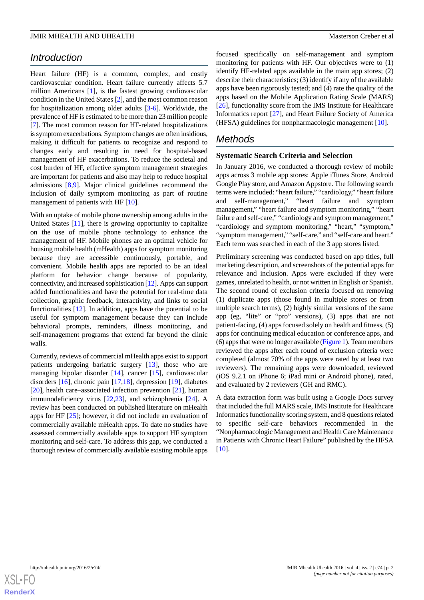## *Introduction*

Heart failure (HF) is a common, complex, and costly cardiovascular condition. Heart failure currently affects 5.7 million Americans [[1\]](#page-11-0), is the fastest growing cardiovascular condition in the United States [\[2](#page-11-1)], and the most common reason for hospitalization among older adults [\[3](#page-11-2)-[6\]](#page-11-3). Worldwide, the prevalence of HF is estimated to be more than 23 million people [[7\]](#page-11-4). The most common reason for HF-related hospitalizations is symptom exacerbations. Symptom changes are often insidious, making it difficult for patients to recognize and respond to changes early and resulting in need for hospital-based management of HF exacerbations. To reduce the societal and cost burden of HF, effective symptom management strategies are important for patients and also may help to reduce hospital admissions [\[8](#page-11-5),[9\]](#page-11-6). Major clinical guidelines recommend the inclusion of daily symptom monitoring as part of routine management of patients with HF [\[10](#page-11-7)].

With an uptake of mobile phone ownership among adults in the United States [[11\]](#page-11-8), there is growing opportunity to capitalize on the use of mobile phone technology to enhance the management of HF. Mobile phones are an optimal vehicle for housing mobile health (mHealth) apps for symptom monitoring because they are accessible continuously, portable, and convenient. Mobile health apps are reported to be an ideal platform for behavior change because of popularity, connectivity, and increased sophistication [\[12](#page-11-9)]. Apps can support added functionalities and have the potential for real-time data collection, graphic feedback, interactivity, and links to social functionalities [\[12](#page-11-9)]. In addition, apps have the potential to be useful for symptom management because they can include behavioral prompts, reminders, illness monitoring, and self-management programs that extend far beyond the clinic walls.

Currently, reviews of commercial mHealth apps exist to support patients undergoing bariatric surgery [\[13](#page-11-10)], those who are managing bipolar disorder [[14\]](#page-11-11), cancer [[15\]](#page-11-12), cardiovascular disorders [\[16](#page-11-13)], chronic pain [\[17](#page-11-14),[18\]](#page-12-0), depression [\[19](#page-12-1)], diabetes [[20\]](#page-12-2), health care–associated infection prevention [[21\]](#page-12-3), human immunodeficiency virus [\[22](#page-12-4),[23\]](#page-12-5), and schizophrenia [\[24](#page-12-6)]. A review has been conducted on published literature on mHealth apps for HF [\[25](#page-12-7)]; however, it did not include an evaluation of commercially available mHealth apps. To date no studies have assessed commercially available apps to support HF symptom monitoring and self-care. To address this gap, we conducted a thorough review of commercially available existing mobile apps

focused specifically on self-management and symptom monitoring for patients with HF. Our objectives were to (1) identify HF-related apps available in the main app stores; (2) describe their characteristics; (3) identify if any of the available apps have been rigorously tested; and (4) rate the quality of the apps based on the Mobile Application Rating Scale (MARS) [[26\]](#page-12-8), functionality score from the IMS Institute for Healthcare Informatics report [\[27](#page-12-9)], and Heart Failure Society of America (HFSA) guidelines for nonpharmacologic management [[10\]](#page-11-7).

## *Methods*

## **Systematic Search Criteria and Selection**

In January 2016, we conducted a thorough review of mobile apps across 3 mobile app stores: Apple iTunes Store, Android Google Play store, and Amazon Appstore. The following search terms were included: "heart failure," "cardiology," "heart failure and self-management," "heart failure and symptom management," "heart failure and symptom monitoring," "heart failure and self-care," "cardiology and symptom management," "cardiology and symptom monitoring," "heart," "symptom," "symptom management," "self-care," and "self-care and heart." Each term was searched in each of the 3 app stores listed.

Preliminary screening was conducted based on app titles, full marketing description, and screenshots of the potential apps for relevance and inclusion. Apps were excluded if they were games, unrelated to health, or not written in English or Spanish. The second round of exclusion criteria focused on removing (1) duplicate apps (those found in multiple stores or from multiple search terms), (2) highly similar versions of the same app (eg, "lite" or "pro" versions), (3) apps that are not patient-facing, (4) apps focused solely on health and fitness, (5) apps for continuing medical education or conference apps, and (6) apps that were no longer available [\(Figure 1\)](#page-2-0). Team members reviewed the apps after each round of exclusion criteria were completed (almost 70% of the apps were rated by at least two reviewers). The remaining apps were downloaded, reviewed (iOS 9.2.1 on iPhone 6; iPad mini or Android phone), rated, and evaluated by 2 reviewers (GH and RMC).

A data extraction form was built using a Google Docs survey that included the full MARS scale, IMS Institute for Healthcare Informatics functionality scoring system, and 8 questions related to specific self-care behaviors recommended in the "Nonpharmacologic Management and Health Care Maintenance in Patients with Chronic Heart Failure" published by the HFSA [[10\]](#page-11-7).

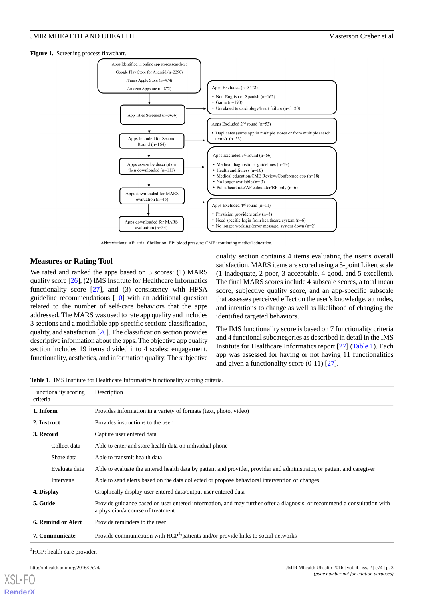<span id="page-2-0"></span>**Figure 1.** Screening process flowchart.



Abbreviations: AF: atrial fibrillation; BP: blood pressure; CME: continuing medical education

## **Measures or Rating Tool**

We rated and ranked the apps based on 3 scores: (1) MARS quality score [\[26](#page-12-8)], (2) IMS Institute for Healthcare Informatics functionality score  $[27]$  $[27]$ , and  $(3)$  consistency with HFSA guideline recommendations [[10\]](#page-11-7) with an additional question related to the number of self-care behaviors that the apps addressed. The MARS was used to rate app quality and includes 3 sections and a modifiable app-specific section: classification, quality, and satisfaction [[26\]](#page-12-8). The classification section provides descriptive information about the apps. The objective app quality section includes 19 items divided into 4 scales: engagement, functionality, aesthetics, and information quality. The subjective

quality section contains 4 items evaluating the user's overall satisfaction. MARS items are scored using a 5-point Likert scale (1-inadequate, 2-poor, 3-acceptable, 4-good, and 5-excellent). The final MARS scores include 4 subscale scores, a total mean score, subjective quality score, and an app-specific subscale that assesses perceived effect on the user's knowledge, attitudes, and intentions to change as well as likelihood of changing the identified targeted behaviors.

The IMS functionality score is based on 7 functionality criteria and 4 functional subcategories as described in detail in the IMS Institute for Healthcare Informatics report [\[27](#page-12-9)] [\(Table 1\)](#page-2-1). Each app was assessed for having or not having 11 functionalities and given a functionality score (0-11) [[27\]](#page-12-9).

<span id="page-2-1"></span>**Table 1.** IMS Institute for Healthcare Informatics functionality scoring criteria.

| Functionality scoring<br>criteria |               | Description                                                                                                                                                  |  |  |  |  |  |
|-----------------------------------|---------------|--------------------------------------------------------------------------------------------------------------------------------------------------------------|--|--|--|--|--|
| 1. Inform                         |               | Provides information in a variety of formats (text, photo, video)                                                                                            |  |  |  |  |  |
| 2. Instruct                       |               | Provides instructions to the user                                                                                                                            |  |  |  |  |  |
| 3. Record                         |               | Capture user entered data                                                                                                                                    |  |  |  |  |  |
|                                   | Collect data  | Able to enter and store health data on individual phone                                                                                                      |  |  |  |  |  |
|                                   | Share data    | Able to transmit health data                                                                                                                                 |  |  |  |  |  |
|                                   | Evaluate data | Able to evaluate the entered health data by patient and provider, provider and administrator, or patient and caregiver                                       |  |  |  |  |  |
|                                   | Intervene     | Able to send alerts based on the data collected or propose behavioral intervention or changes                                                                |  |  |  |  |  |
| 4. Display                        |               | Graphically display user entered data/output user entered data                                                                                               |  |  |  |  |  |
| 5. Guide                          |               | Provide guidance based on user entered information, and may further offer a diagnosis, or recommend a consultation with<br>a physician/a course of treatment |  |  |  |  |  |
| 6. Remind or Alert                |               | Provide reminders to the user                                                                                                                                |  |  |  |  |  |
| 7. Communicate                    |               | Provide communication with HCP <sup>a</sup> /patients and/or provide links to social networks                                                                |  |  |  |  |  |

<sup>a</sup>HCP: health care provider.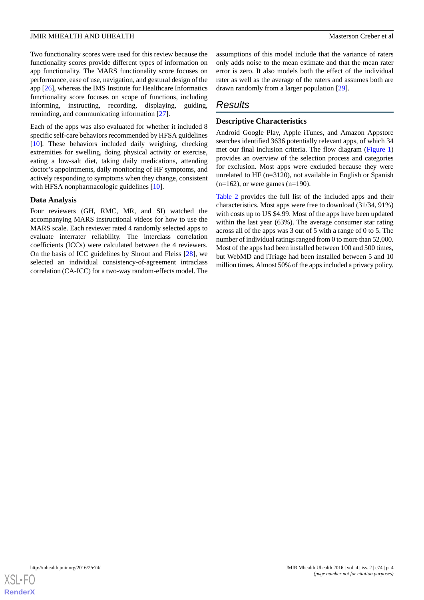Two functionality scores were used for this review because the functionality scores provide different types of information on app functionality. The MARS functionality score focuses on performance, ease of use, navigation, and gestural design of the app [[26\]](#page-12-8), whereas the IMS Institute for Healthcare Informatics functionality score focuses on scope of functions, including informing, instructing, recording, displaying, guiding, reminding, and communicating information [\[27](#page-12-9)].

Each of the apps was also evaluated for whether it included 8 specific self-care behaviors recommended by HFSA guidelines [[10\]](#page-11-7). These behaviors included daily weighing, checking extremities for swelling, doing physical activity or exercise, eating a low-salt diet, taking daily medications, attending doctor's appointments, daily monitoring of HF symptoms, and actively responding to symptoms when they change, consistent with HFSA nonpharmacologic guidelines [[10\]](#page-11-7).

## **Data Analysis**

Four reviewers (GH, RMC, MR, and SI) watched the accompanying MARS instructional videos for how to use the MARS scale. Each reviewer rated 4 randomly selected apps to evaluate interrater reliability. The interclass correlation coefficients (ICCs) were calculated between the 4 reviewers. On the basis of ICC guidelines by Shrout and Fleiss [\[28](#page-12-10)], we selected an individual consistency-of-agreement intraclass correlation (CA-ICC) for a two-way random-effects model. The

assumptions of this model include that the variance of raters only adds noise to the mean estimate and that the mean rater error is zero. It also models both the effect of the individual rater as well as the average of the raters and assumes both are drawn randomly from a larger population [[29\]](#page-12-11).

## *Results*

## **Descriptive Characteristics**

Android Google Play, Apple iTunes, and Amazon Appstore searches identified 3636 potentially relevant apps, of which 34 met our final inclusion criteria. The flow diagram ([Figure 1](#page-2-0)) provides an overview of the selection process and categories for exclusion. Most apps were excluded because they were unrelated to HF (n=3120), not available in English or Spanish  $(n=162)$ , or were games  $(n=190)$ .

[Table 2](#page-4-0) provides the full list of the included apps and their characteristics. Most apps were free to download (31/34, 91%) with costs up to US \$4.99. Most of the apps have been updated within the last year (63%). The average consumer star rating across all of the apps was 3 out of 5 with a range of 0 to 5. The number of individual ratings ranged from 0 to more than 52,000. Most of the apps had been installed between 100 and 500 times, but WebMD and iTriage had been installed between 5 and 10 million times. Almost 50% of the apps included a privacy policy.

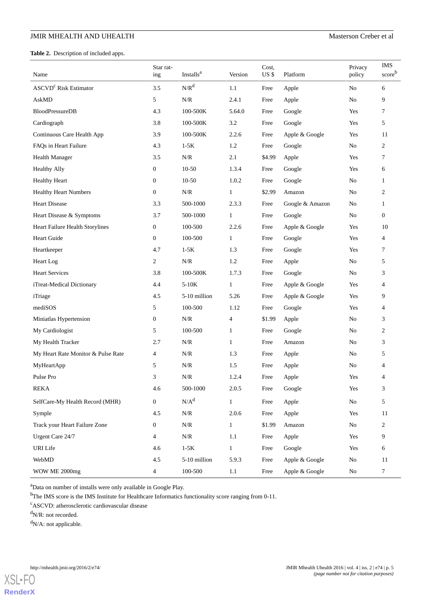## JMIR MHEALTH AND UHEALTH MASTER STATES AND THE MASTER OF A MASTER OF A MASTER OF A MASTER OF A MASTER OF A MASTER OF A MASTER OF A MASTER OF A MASTER OF A MASTER OF A MASTER OF A MASTER OF A MASTER OF A MASTER OF A MASTER

<span id="page-4-0"></span>**Table 2.** Description of included apps.

| Name                               | Star rat-<br>ing | Installs <sup>a</sup> | Version                          | Cost,<br>US\$ | Platform        | Privacy<br>policy | <b>IMS</b><br>scoreb |
|------------------------------------|------------------|-----------------------|----------------------------------|---------------|-----------------|-------------------|----------------------|
| ASCVD <sup>c</sup> Risk Estimator  | 3.5              | $N/R^d$               | $1.1\,$                          | Free          | Apple           | N <sub>o</sub>    | 6                    |
| AskMD                              | 5                | N/R                   | 2.4.1                            | Apple<br>Free |                 | No                | 9                    |
| <b>BloodPressureDB</b>             | 4.3              | 100-500K              | 5.64.0                           | Free          | Google          | Yes               | 7                    |
| Cardiograph                        | 3.8              | 100-500K              | 3.2                              | Free          | Google          | Yes               | 5                    |
| Continuous Care Health App         | 3.9              | 100-500K              | 2.2.6                            | Free          | Apple & Google  | Yes               | 11                   |
| FAQs in Heart Failure              | 4.3              | $1-5K$                | 1.2<br>Google<br>Free            |               |                 | No                | $\overline{c}$       |
| Health Manager                     | 3.5              | N/R                   | 2.1<br>\$4.99                    |               | Apple           | Yes               | 7                    |
| <b>Healthy Ally</b>                | $\boldsymbol{0}$ | $10-50$               | 1.3.4<br>Free                    |               | Google          | Yes               | 6                    |
| <b>Healthy Heart</b>               | $\boldsymbol{0}$ | $10-50$               | 1.0.2<br>Free<br>Google          |               |                 | No                | $\mathbf{1}$         |
| <b>Healthy Heart Numbers</b>       | $\boldsymbol{0}$ | N/R                   | $\mathbf{1}$<br>\$2.99<br>Amazon |               |                 | No                | 2                    |
| <b>Heart Disease</b>               | 3.3              | 500-1000              | 2.3.3                            | Free          | Google & Amazon | No                | $\mathbf{1}$         |
| Heart Disease & Symptoms           | 3.7              | 500-1000              | $\mathbf{1}$                     | Free          | Google          | No                | $\mathbf{0}$         |
| Heart Failure Health Storylines    | $\boldsymbol{0}$ | 100-500               | 2.2.6                            | Free          | Apple & Google  | Yes               | 10                   |
| Heart Guide                        | $\boldsymbol{0}$ | 100-500               | $\mathbf{1}$                     | Free          | Google          | Yes               | $\overline{4}$       |
| Heartkeeper                        | 4.7              | $1-5K$                | 1.3                              | Free          | Google          | Yes               | 7                    |
| Heart Log                          | 2                | N/R                   | 1.2                              | Free          | Apple           | No                | 5                    |
| <b>Heart Services</b>              | 3.8              | 100-500K              | 1.7.3                            | Free          | Google          | No                | 3                    |
| iTreat-Medical Dictionary          | 4.4              | $5-10K$               | $\mathbf{1}$                     | Free          | Apple & Google  | Yes               | $\overline{4}$       |
| iTriage                            | 4.5              | 5-10 million          | 5.26                             | Free          | Apple & Google  | Yes               | 9                    |
| mediSOS                            | 5                | 100-500               | 1.12                             | Free          | Google          | Yes               | $\overline{4}$       |
| Miniatlas Hypertension             | $\boldsymbol{0}$ | N/R                   | 4                                | \$1.99        | Apple           | No                | 3                    |
| My Cardiologist                    | 5                | 100-500               | $\mathbf{1}$                     | Free          | Google          | No                | 2                    |
| My Health Tracker                  | 2.7              | N/R                   | $\mathbf{1}$                     | Free          | Amazon          | No                | 3                    |
| My Heart Rate Monitor & Pulse Rate | 4                | N/R                   | 1.3                              | Free          | Apple           | No                | 5                    |
| MyHeartApp                         | 5                | N/R                   | 1.5                              | Free          | Apple           | No                | $\overline{4}$       |
| Pulse Pro                          | 3                | N/R                   | 1.2.4                            | Free          | Apple           | Yes               | 4                    |
| <b>REKA</b>                        | 4.6              | 500-1000              | 2.0.5                            | Free          | Google          | Yes               | 3                    |
| SelfCare-My Health Record (MHR)    | $\overline{0}$   | $N/A^d$               | $\mathbf{1}$                     | Free          | Apple           | No                | 5                    |
| Symple                             | 4.5              | N/R                   | 2.0.6                            | Free          | Apple           | Yes               | 11                   |
| Track your Heart Failure Zone      | $\boldsymbol{0}$ | N/R                   | $\mathbf{1}$                     | \$1.99        | Amazon          | No                | $\overline{c}$       |
| Urgent Care 24/7                   | 4                | N/R                   | 1.1                              | Free          | Apple           | Yes               | 9                    |
| <b>URI</b> Life                    | 4.6              | $1-5K$                | $\mathbf{1}$                     | Free          | Google          | Yes               | 6                    |
| WebMD                              | $4.5$            | 5-10 million          | 5.9.3                            | Free          | Apple & Google  | No                | 11                   |
| WOW ME 2000mg                      | $\overline{4}$   | 100-500               | 1.1                              | Free          | Apple & Google  | No                | $\tau$               |

<sup>a</sup>Data on number of installs were only available in Google Play.

<sup>b</sup>The IMS score is the IMS Institute for Healthcare Informatics functionality score ranging from 0-11.

<sup>c</sup>ASCVD: atherosclerotic cardiovascular disease

 $d$ N/R: not recorded.

 $dN/A$ : not applicable.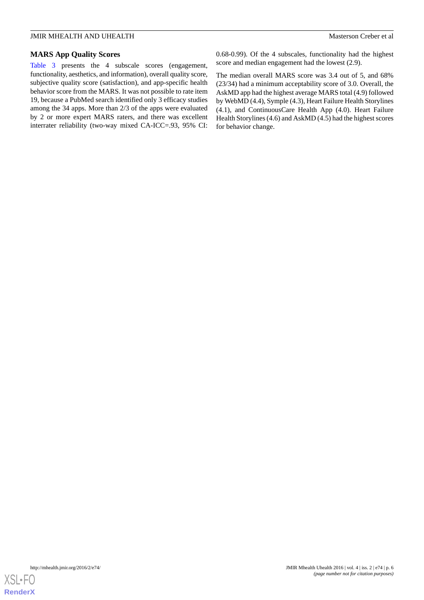## JMIR MHEALTH AND UHEALTH Masterson Creber et al

## **MARS App Quality Scores**

[Table 3](#page-6-0) presents the 4 subscale scores (engagement, functionality, aesthetics, and information), overall quality score, subjective quality score (satisfaction), and app-specific health behavior score from the MARS. It was not possible to rate item 19, because a PubMed search identified only 3 efficacy studies among the 34 apps. More than 2/3 of the apps were evaluated by 2 or more expert MARS raters, and there was excellent interrater reliability (two-way mixed CA-ICC=.93, 95% CI: 0.68-0.99). Of the 4 subscales, functionality had the highest score and median engagement had the lowest (2.9).

The median overall MARS score was 3.4 out of 5, and 68% (23/34) had a minimum acceptability score of 3.0. Overall, the AskMD app had the highest average MARS total (4.9) followed by WebMD (4.4), Symple (4.3), Heart Failure Health Storylines (4.1), and ContinuousCare Health App (4.0). Heart Failure Health Storylines (4.6) and AskMD (4.5) had the highest scores for behavior change.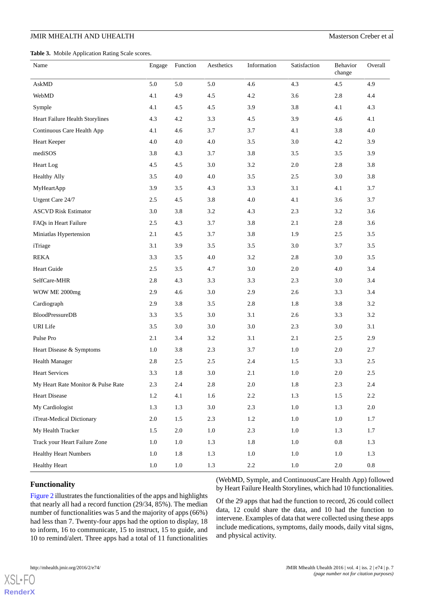## JMIR MHEALTH AND UHEALTH MASTER STATES AND THE MASTER OF A MASTER OF A MASTER OF A MASTER OF A MASTER OF A MASTER OF A MASTER OF A MASTER OF A MASTER OF A MASTER OF A MASTER OF A MASTER OF A MASTER OF A MASTER OF A MASTER

<span id="page-6-0"></span>**Table 3.** Mobile Application Rating Scale scores.

| Name                               | Engage  | Function | Aesthetics | Information | Satisfaction | Behavior<br>change | Overall   |
|------------------------------------|---------|----------|------------|-------------|--------------|--------------------|-----------|
| AskMD                              | 5.0     | 5.0      | 5.0        | 4.6         | 4.3          | 4.5                | 4.9       |
| WebMD                              | 4.1     | 4.9      | 4.5        | $4.2\,$     | 3.6          | $2.8\,$            | 4.4       |
| Symple                             | 4.1     | 4.5      | 4.5        | 3.9         | 3.8          | 4.1                | 4.3       |
| Heart Failure Health Storylines    | 4.3     | 4.2      | 3.3        | 4.5         | 3.9          | 4.6                | 4.1       |
| Continuous Care Health App         | 4.1     | $4.6\,$  | 3.7        | 3.7         | 4.1          | 3.8                | 4.0       |
| Heart Keeper                       | 4.0     | $4.0\,$  | 4.0        | 3.5         | 3.0          | $4.2\,$            | 3.9       |
| mediSOS                            | 3.8     | 4.3      | 3.7        | 3.8         | 3.5          | 3.5                | 3.9       |
| Heart Log                          | 4.5     | 4.5      | 3.0        | 3.2         | 2.0          | 2.8                | 3.8       |
| <b>Healthy Ally</b>                | 3.5     | 4.0      | 4.0        | 3.5         | 2.5          | $3.0\,$            | 3.8       |
| MyHeartApp                         | 3.9     | 3.5      | 4.3        | 3.3         | 3.1          | 4.1                | 3.7       |
| Urgent Care 24/7                   | 2.5     | $4.5\,$  | 3.8        | 4.0         | 4.1          | 3.6                | 3.7       |
| <b>ASCVD Risk Estimator</b>        | 3.0     | 3.8      | $3.2\,$    | 4.3         | 2.3          | $3.2\,$            | 3.6       |
| FAQs in Heart Failure              | 2.5     | 4.3      | 3.7        | 3.8         | 2.1          | 2.8                | 3.6       |
| Miniatlas Hypertension             | 2.1     | 4.5      | 3.7        | 3.8         | 1.9          | 2.5                | 3.5       |
| iTriage                            | 3.1     | 3.9      | $3.5\,$    | 3.5         | 3.0          | 3.7                | 3.5       |
| <b>REKA</b>                        | 3.3     | 3.5      | 4.0        | 3.2         | 2.8          | 3.0                | 3.5       |
| Heart Guide                        | 2.5     | 3.5      | 4.7        | 3.0         | 2.0          | 4.0                | 3.4       |
| SelfCare-MHR                       | 2.8     | 4.3      | 3.3        | 3.3         | 2.3          | 3.0                | 3.4       |
| WOW ME 2000mg                      | 2.9     | 4.6      | 3.0        | 2.9         | 2.6          | 3.3                | 3.4       |
| Cardiograph                        | 2.9     | 3.8      | 3.5        | 2.8         | 1.8          | 3.8                | 3.2       |
| <b>BloodPressureDB</b>             | 3.3     | 3.5      | 3.0        | 3.1         | 2.6          | 3.3                | 3.2       |
| URI Life                           | $3.5$   | $3.0\,$  | $3.0\,$    | 3.0         | 2.3          | 3.0                | 3.1       |
| Pulse Pro                          | $2.1\,$ | 3.4      | 3.2        | 3.1         | 2.1          | 2.5                | 2.9       |
| Heart Disease & Symptoms           | 1.0     | 3.8      | 2.3        | 3.7         | 1.0          | $2.0\,$            | 2.7       |
| <b>Health Manager</b>              | 2.8     | 2.5      | 2.5        | 2.4         | 1.5          | 3.3                | $2.5\,$   |
| <b>Heart Services</b>              | 3.3     | 1.8      | 3.0        | 2.1         | 1.0          | $2.0\,$            | 2.5       |
| My Heart Rate Monitor & Pulse Rate | 2.3     | $2.4\,$  | $2.8\,$    | 2.0         | $1.8\,$      | $2.3\,$            | $2.4\,$   |
| <b>Heart Disease</b>               | $1.2\,$ | 4.1      | 1.6        | $2.2\,$     | 1.3          | 1.5                | $2.2\,$   |
| My Cardiologist                    | 1.3     | 1.3      | 3.0        | 2.3         | $1.0\,$      | 1.3                | $2.0\,$   |
| iTreat-Medical Dictionary          | $2.0\,$ | $1.5\,$  | 2.3        | $1.2\,$     | 1.0          | $1.0\,$            | 1.7       |
| My Health Tracker                  | 1.5     | $2.0\,$  | 1.0        | 2.3         | 1.0          | 1.3                | 1.7       |
| Track your Heart Failure Zone      | 1.0     | $1.0\,$  | 1.3        | $1.8\,$     | $1.0\,$      | $\rm 0.8$          | 1.3       |
| <b>Healthy Heart Numbers</b>       | 1.0     | 1.8      | 1.3        | $1.0\,$     | $1.0\,$      | $1.0\,$            | 1.3       |
| <b>Healthy Heart</b>               | 1.0     | $1.0\,$  | 1.3        | $2.2\,$     | 1.0          | $2.0\,$            | $\rm 0.8$ |

## **Functionality**

[Figure 2](#page-7-0) illustrates the functionalities of the apps and highlights that nearly all had a record function (29/34, 85%). The median number of functionalities was 5 and the majority of apps (66%) had less than 7. Twenty-four apps had the option to display, 18 to inform, 16 to communicate, 15 to instruct, 15 to guide, and 10 to remind/alert. Three apps had a total of 11 functionalities

(WebMD, Symple, and ContinuousCare Health App) followed by Heart Failure Health Storylines, which had 10 functionalities.

Of the 29 apps that had the function to record, 26 could collect data, 12 could share the data, and 10 had the function to intervene. Examples of data that were collected using these apps include medications, symptoms, daily moods, daily vital signs, and physical activity.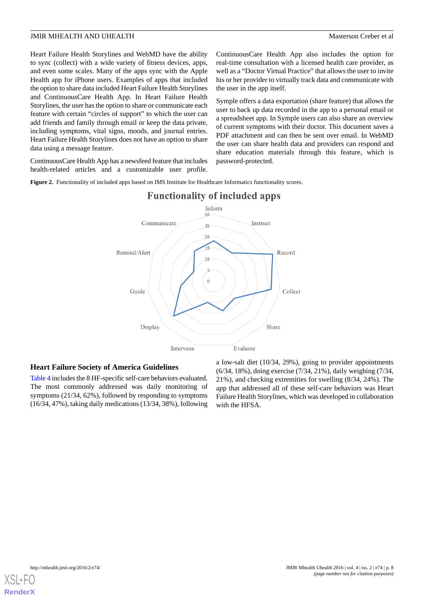Heart Failure Health Storylines and WebMD have the ability to sync (collect) with a wide variety of fitness devices, apps, and even some scales. Many of the apps sync with the Apple Health app for iPhone users. Examples of apps that included the option to share data included Heart Failure Health Storylines and ContinuousCare Health App. In Heart Failure Health Storylines, the user has the option to share or communicate each feature with certain "circles of support" to which the user can add friends and family through email or keep the data private, including symptoms, vital signs, moods, and journal entries. Heart Failure Health Storylines does not have an option to share data using a message feature.

<span id="page-7-0"></span>ContinuousCare Health App has a newsfeed feature that includes health-related articles and a customizable user profile.

ContinuousCare Health App also includes the option for real-time consultation with a licensed health care provider, as well as a "Doctor Virtual Practice" that allows the user to invite his or her provider to virtually track data and communicate with the user in the app itself.

Symple offers a data exportation (share feature) that allows the user to back up data recorded in the app to a personal email or a spreadsheet app. In Symple users can also share an overview of current symptoms with their doctor. This document saves a PDF attachment and can then be sent over email. In WebMD the user can share health data and providers can respond and share education materials through this feature, which is password-protected.

Figure 2. Functionality of included apps based on IMS Institute for Healthcare Informatics functionality scores.



## **Functionality of included apps**

## **Heart Failure Society of America Guidelines**

[Table 4](#page-8-0) includes the 8 HF-specific self-care behaviors evaluated. The most commonly addressed was daily monitoring of symptoms (21/34, 62%), followed by responding to symptoms (16/34, 47%), taking daily medications (13/34, 38%), following

a low-salt diet (10/34, 29%), going to provider appointments (6/34, 18%), doing exercise (7/34, 21%), daily weighing (7/34, 21%), and checking extremities for swelling (8/34, 24%). The app that addressed all of these self-care behaviors was Heart Failure Health Storylines, which was developed in collaboration with the HFSA.

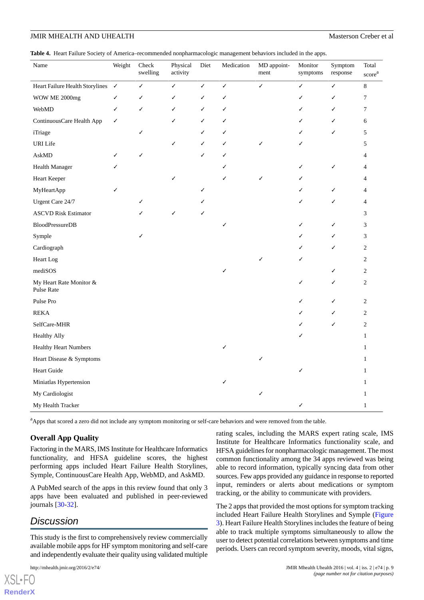<span id="page-8-0"></span>**Table 4.** Heart Failure Society of America–recommended nonpharmacologic management behaviors included in the apps.

| Name                                  | Weight | Check<br>swelling | Physical<br>activity | Diet | Medication | MD appoint-<br>ment | Monitor<br>symptoms | Symptom<br>response | Total<br>score <sup>a</sup> |
|---------------------------------------|--------|-------------------|----------------------|------|------------|---------------------|---------------------|---------------------|-----------------------------|
| Heart Failure Health Storylines V     |        | ✓                 | ✓                    | ✓    | ✓          | ✓                   | ✓                   | ✓                   | $8\,$                       |
| WOW ME 2000mg                         | ✓      | ✓                 | ✓                    | ✓    | ✓          |                     | ✓                   | ✓                   | $\overline{7}$              |
| WebMD                                 | ✓      | ✓                 | ✓                    | ✓    | ✓          |                     | ✓                   | ✓                   | 7                           |
| ContinuousCare Health App             | ✓      |                   | ✓                    | ✓    | ✓          |                     | ✓                   | J                   | 6                           |
| iTriage                               |        | ✓                 |                      |      | ✓          |                     | ✓                   | ✓                   | 5                           |
| URI Life                              |        |                   | ✓                    | ✓    | ✓          | ✓                   | ✓                   |                     | 5                           |
| AskMD                                 |        | ✓                 |                      | ✓    | ✓          |                     |                     |                     | 4                           |
| Health Manager                        |        |                   |                      |      | ✓          |                     | ✓                   | ✓                   | 4                           |
| Heart Keeper                          |        |                   | ✓                    |      | ✓          | ✓                   | ✓                   |                     | 4                           |
| MyHeartApp                            |        |                   |                      |      |            |                     | ✓                   | ✓                   | 4                           |
| Urgent Care 24/7                      |        | ✓                 |                      |      |            |                     | ✓                   |                     | 4                           |
| <b>ASCVD Risk Estimator</b>           |        |                   | ✓                    |      |            |                     |                     |                     | 3                           |
| <b>BloodPressureDB</b>                |        |                   |                      |      | ✓          |                     | ✓                   |                     | 3                           |
| Symple                                |        | ✓                 |                      |      |            |                     | ✓                   |                     | 3                           |
| Cardiograph                           |        |                   |                      |      |            |                     | ✓                   | ✓                   | $\overline{c}$              |
| Heart Log                             |        |                   |                      |      |            | ✓                   | ✓                   |                     | $\overline{2}$              |
| mediSOS                               |        |                   |                      |      | ✓          |                     |                     | ✓                   | $\overline{c}$              |
| My Heart Rate Monitor &<br>Pulse Rate |        |                   |                      |      |            |                     | ✓                   | ✓                   | $\overline{c}$              |
| Pulse Pro                             |        |                   |                      |      |            |                     | ✓                   | ✓                   | $\overline{c}$              |
| <b>REKA</b>                           |        |                   |                      |      |            |                     | ✓                   | ✓                   | $\overline{c}$              |
| SelfCare-MHR                          |        |                   |                      |      |            |                     | ✓                   | ✓                   | $\overline{c}$              |
| <b>Healthy Ally</b>                   |        |                   |                      |      |            |                     | ✓                   |                     | $\mathbf{1}$                |
| <b>Healthy Heart Numbers</b>          |        |                   |                      |      | ✓          |                     |                     |                     | $\mathbf{1}$                |
| Heart Disease & Symptoms              |        |                   |                      |      |            | ✓                   |                     |                     | 1                           |
| Heart Guide                           |        |                   |                      |      |            |                     | ✓                   |                     | $\mathbf{1}$                |
| Miniatlas Hypertension                |        |                   |                      |      | ✓          |                     |                     |                     | $\mathbf{1}$                |
| My Cardiologist                       |        |                   |                      |      |            | $\checkmark$        |                     |                     | 1                           |
| My Health Tracker                     |        |                   |                      |      |            |                     | ✓                   |                     | $\mathbf{1}$                |

<sup>a</sup>Apps that scored a zero did not include any symptom monitoring or self-care behaviors and were removed from the table.

## **Overall App Quality**

Factoring in the MARS, IMS Institute for Healthcare Informatics functionality, and HFSA guideline scores, the highest performing apps included Heart Failure Health Storylines, Symple, ContinuousCare Health App, WebMD, and AskMD.

A PubMed search of the apps in this review found that only 3 apps have been evaluated and published in peer-reviewed journals [[30-](#page-12-12)[32\]](#page-12-13).

## *Discussion*

[XSL](http://www.w3.org/Style/XSL)•FO **[RenderX](http://www.renderx.com/)**

This study is the first to comprehensively review commercially available mobile apps for HF symptom monitoring and self-care and independently evaluate their quality using validated multiple

rating scales, including the MARS expert rating scale, IMS Institute for Healthcare Informatics functionality scale, and HFSA guidelines for nonpharmacologic management. The most common functionality among the 34 apps reviewed was being able to record information, typically syncing data from other sources. Few apps provided any guidance in response to reported input, reminders or alerts about medications or symptom tracking, or the ability to communicate with providers.

The 2 apps that provided the most options for symptom tracking included Heart Failure Health Storylines and Symple ([Figure](#page-10-0) [3\)](#page-10-0). Heart Failure Health Storylines includes the feature of being able to track multiple symptoms simultaneously to allow the user to detect potential correlations between symptoms and time periods. Users can record symptom severity, moods, vital signs,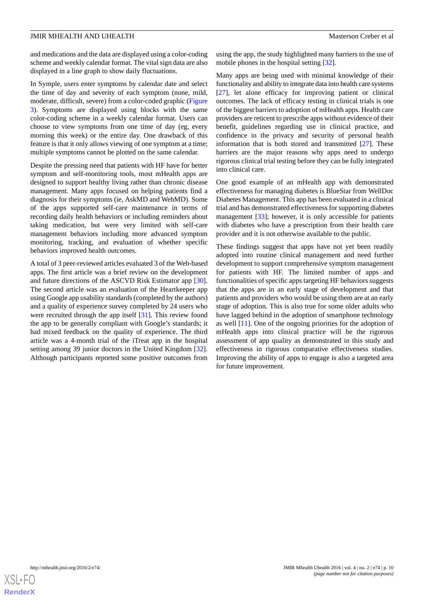and medications and the data are displayed using a color-coding scheme and weekly calendar format. The vital sign data are also displayed in a line graph to show daily fluctuations.

In Symple, users enter symptoms by calendar date and select the time of day and severity of each symptom (none, mild, moderate, difficult, severe) from a color-coded graphic ([Figure](#page-10-0) [3\)](#page-10-0). Symptoms are displayed using blocks with the same color-coding scheme in a weekly calendar format. Users can choose to view symptoms from one time of day (eg, every morning this week) or the entire day. One drawback of this feature is that it only allows viewing of one symptom at a time; multiple symptoms cannot be plotted on the same calendar.

Despite the pressing need that patients with HF have for better symptom and self-monitoring tools, most mHealth apps are designed to support healthy living rather than chronic disease management. Many apps focused on helping patients find a diagnosis for their symptoms (ie, AskMD and WebMD). Some of the apps supported self-care maintenance in terms of recording daily health behaviors or including reminders about taking medication, but were very limited with self-care management behaviors including more advanced symptom monitoring, tracking, and evaluation of whether specific behaviors improved health outcomes.

A total of 3 peer-reviewed articles evaluated 3 of the Web-based apps. The first article was a brief review on the development and future directions of the ASCVD Risk Estimator app [[30\]](#page-12-12). The second article was an evaluation of the Heartkeeper app using Google app usability standards (completed by the authors) and a quality of experience survey completed by 24 users who were recruited through the app itself [\[31](#page-12-14)]. This review found the app to be generally compliant with Google's standards; it had mixed feedback on the quality of experience. The third article was a 4-month trial of the iTreat app in the hospital setting among 39 junior doctors in the United Kingdom [[32\]](#page-12-13). Although participants reported some positive outcomes from

using the app, the study highlighted many barriers to the use of mobile phones in the hospital setting [\[32](#page-12-13)].

Many apps are being used with minimal knowledge of their functionality and ability to integrate data into health care systems [[27\]](#page-12-9), let alone efficacy for improving patient or clinical outcomes. The lack of efficacy testing in clinical trials is one of the biggest barriers to adoption of mHealth apps. Health care providers are reticent to prescribe apps without evidence of their benefit, guidelines regarding use in clinical practice, and confidence in the privacy and security of personal health information that is both stored and transmitted [[27\]](#page-12-9). These barriers are the major reasons why apps need to undergo rigorous clinical trial testing before they can be fully integrated into clinical care.

One good example of an mHealth app with demonstrated effectiveness for managing diabetes is BlueStar from WellDoc Diabetes Management. This app has been evaluated in a clinical trial and has demonstrated effectiveness for supporting diabetes management [[33\]](#page-12-15); however, it is only accessible for patients with diabetes who have a prescription from their health care provider and it is not otherwise available to the public.

These findings suggest that apps have not yet been readily adopted into routine clinical management and need further development to support comprehensive symptom management for patients with HF. The limited number of apps and functionalities of specific apps targeting HF behaviors suggests that the apps are in an early stage of development and that patients and providers who would be using them are at an early stage of adoption. This is also true for some older adults who have lagged behind in the adoption of smartphone technology as well [\[11](#page-11-8)]. One of the ongoing priorities for the adoption of mHealth apps into clinical practice will be the rigorous assessment of app quality as demonstrated in this study and effectiveness in rigorous comparative effectiveness studies. Improving the ability of apps to engage is also a targeted area for future improvement.

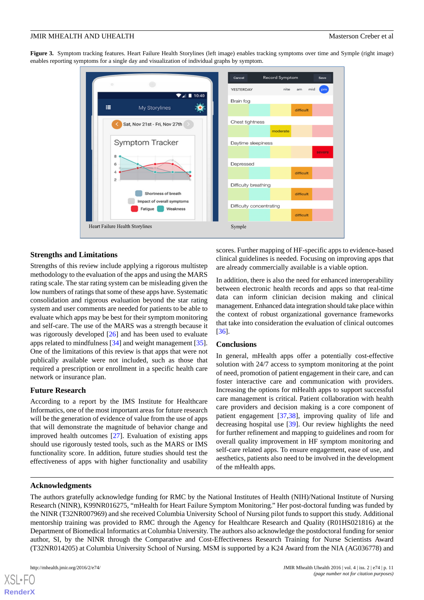<span id="page-10-0"></span>**Figure 3.** Symptom tracking features. Heart Failure Health Storylines (left image) enables tracking symptoms over time and Symple (right image) enables reporting symptoms for a single day and visualization of individual graphs by symptom.



## **Strengths and Limitations**

Strengths of this review include applying a rigorous multistep methodology to the evaluation of the apps and using the MARS rating scale. The star rating system can be misleading given the low numbers of ratings that some of these apps have. Systematic consolidation and rigorous evaluation beyond the star rating system and user comments are needed for patients to be able to evaluate which apps may be best for their symptom monitoring and self-care. The use of the MARS was a strength because it was rigorously developed [[26\]](#page-12-8) and has been used to evaluate apps related to mindfulness [\[34](#page-12-16)] and weight management [[35\]](#page-12-17). One of the limitations of this review is that apps that were not publically available were not included, such as those that required a prescription or enrollment in a specific health care network or insurance plan.

## **Future Research**

According to a report by the IMS Institute for Healthcare Informatics, one of the most important areas for future research will be the generation of evidence of value from the use of apps that will demonstrate the magnitude of behavior change and improved health outcomes [[27\]](#page-12-9). Evaluation of existing apps should use rigorously tested tools, such as the MARS or IMS functionality score. In addition, future studies should test the effectiveness of apps with higher functionality and usability scores. Further mapping of HF-specific apps to evidence-based clinical guidelines is needed. Focusing on improving apps that are already commercially available is a viable option.

In addition, there is also the need for enhanced interoperability between electronic health records and apps so that real-time data can inform clinician decision making and clinical management. Enhanced data integration should take place within the context of robust organizational governance frameworks that take into consideration the evaluation of clinical outcomes [[36\]](#page-12-18).

## **Conclusions**

In general, mHealth apps offer a potentially cost-effective solution with 24/7 access to symptom monitoring at the point of need, promotion of patient engagement in their care, and can foster interactive care and communication with providers. Increasing the options for mHealth apps to support successful care management is critical. Patient collaboration with health care providers and decision making is a core component of patient engagement [[37](#page-12-19)[,38](#page-12-20)], improving quality of life and decreasing hospital use [[39\]](#page-12-21). Our review highlights the need for further refinement and mapping to guidelines and room for overall quality improvement in HF symptom monitoring and self-care related apps. To ensure engagement, ease of use, and aesthetics, patients also need to be involved in the development of the mHealth apps.

#### **Acknowledgments**

The authors gratefully acknowledge funding for RMC by the National Institutes of Health (NIH)/National Institute of Nursing Research (NINR), K99NR016275, "mHealth for Heart Failure Symptom Monitoring." Her post-doctoral funding was funded by the NINR (T32NR007969) and she received Columbia University School of Nursing pilot funds to support this study. Additional mentorship training was provided to RMC through the Agency for Healthcare Research and Quality (R01HS021816) at the Department of Biomedical Informatics at Columbia University. The authors also acknowledge the postdoctoral funding for senior author, SI, by the NINR through the Comparative and Cost-Effectiveness Research Training for Nurse Scientists Award (T32NR014205) at Columbia University School of Nursing. MSM is supported by a K24 Award from the NIA (AG036778) and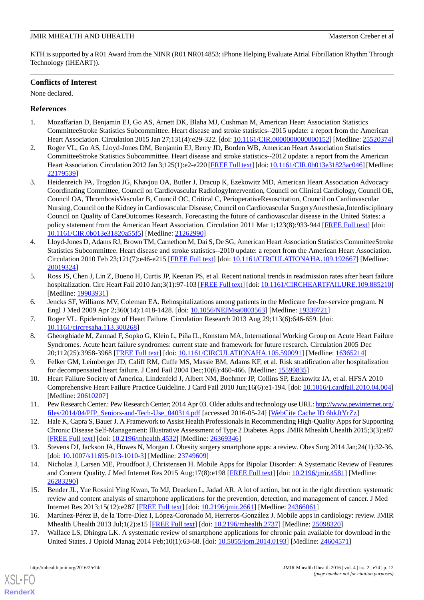## JMIR MHEALTH AND UHEALTH Masterson Creber et al

KTH is supported by a R01 Award from the NINR (R01 NR014853: iPhone Helping Evaluate Atrial Fibrillation Rhythm Through Technology (iHEART)).

## **Conflicts of Interest**

None declared.

## <span id="page-11-0"></span>**References**

- <span id="page-11-1"></span>1. Mozaffarian D, Benjamin EJ, Go AS, Arnett DK, Blaha MJ, Cushman M, American Heart Association Statistics CommitteeStroke Statistics Subcommittee. Heart disease and stroke statistics--2015 update: a report from the American Heart Association. Circulation 2015 Jan 27;131(4):e29-322. [doi: [10.1161/CIR.0000000000000152](http://dx.doi.org/10.1161/CIR.0000000000000152)] [Medline: [25520374](http://www.ncbi.nlm.nih.gov/entrez/query.fcgi?cmd=Retrieve&db=PubMed&list_uids=25520374&dopt=Abstract)]
- <span id="page-11-2"></span>2. Roger VL, Go AS, Lloyd-Jones DM, Benjamin EJ, Berry JD, Borden WB, American Heart Association Statistics CommitteeStroke Statistics Subcommittee. Heart disease and stroke statistics--2012 update: a report from the American Heart Association. Circulation 2012 Jan 3;125(1):e2-e220 [[FREE Full text\]](http://circ.ahajournals.org/cgi/pmidlookup?view=long&pmid=22179539) [doi: [10.1161/CIR.0b013e31823ac046](http://dx.doi.org/10.1161/CIR.0b013e31823ac046)] [Medline: [22179539](http://www.ncbi.nlm.nih.gov/entrez/query.fcgi?cmd=Retrieve&db=PubMed&list_uids=22179539&dopt=Abstract)]
- 3. Heidenreich PA, Trogdon JG, Khavjou OA, Butler J, Dracup K, Ezekowitz MD, American Heart Association Advocacy Coordinating Committee, Council on Cardiovascular RadiologyIntervention, Council on Clinical Cardiology, Council OE, Council OA, ThrombosisVascular B, Council OC, Critical C, PerioperativeResuscitation, Council on Cardiovascular Nursing, Council on the Kidney in Cardiovascular Disease, Council on Cardiovascular SurgeryAnesthesia, Interdisciplinary Council on Quality of CareOutcomes Research. Forecasting the future of cardiovascular disease in the United States: a policy statement from the American Heart Association. Circulation 2011 Mar 1;123(8):933-944 [[FREE Full text](http://circ.ahajournals.org/cgi/pmidlookup?view=long&pmid=21262990)] [doi: [10.1161/CIR.0b013e31820a55f5](http://dx.doi.org/10.1161/CIR.0b013e31820a55f5)] [Medline: [21262990\]](http://www.ncbi.nlm.nih.gov/entrez/query.fcgi?cmd=Retrieve&db=PubMed&list_uids=21262990&dopt=Abstract)
- 4. Lloyd-Jones D, Adams RJ, Brown TM, Carnethon M, Dai S, De SG, American Heart Association Statistics CommitteeStroke Statistics Subcommittee. Heart disease and stroke statistics--2010 update: a report from the American Heart Association. Circulation 2010 Feb 23;121(7):e46-e215 [\[FREE Full text\]](http://circ.ahajournals.org/cgi/pmidlookup?view=long&pmid=20019324) [doi: [10.1161/CIRCULATIONAHA.109.192667](http://dx.doi.org/10.1161/CIRCULATIONAHA.109.192667)] [Medline: [20019324](http://www.ncbi.nlm.nih.gov/entrez/query.fcgi?cmd=Retrieve&db=PubMed&list_uids=20019324&dopt=Abstract)]
- <span id="page-11-4"></span><span id="page-11-3"></span>5. Ross JS, Chen J, Lin Z, Bueno H, Curtis JP, Keenan PS, et al. Recent national trends in readmission rates after heart failure hospitalization. Circ Heart Fail 2010 Jan;3(1):97-103 [\[FREE Full text\]](http://circheartfailure.ahajournals.org/cgi/pmidlookup?view=long&pmid=19903931) [doi: [10.1161/CIRCHEARTFAILURE.109.885210](http://dx.doi.org/10.1161/CIRCHEARTFAILURE.109.885210)] [Medline: [19903931](http://www.ncbi.nlm.nih.gov/entrez/query.fcgi?cmd=Retrieve&db=PubMed&list_uids=19903931&dopt=Abstract)]
- <span id="page-11-5"></span>6. Jencks SF, Williams MV, Coleman EA. Rehospitalizations among patients in the Medicare fee-for-service program. N Engl J Med 2009 Apr 2;360(14):1418-1428. [doi: [10.1056/NEJMsa0803563](http://dx.doi.org/10.1056/NEJMsa0803563)] [Medline: [19339721](http://www.ncbi.nlm.nih.gov/entrez/query.fcgi?cmd=Retrieve&db=PubMed&list_uids=19339721&dopt=Abstract)]
- <span id="page-11-6"></span>7. Roger VL. Epidemiology of Heart Failure. Circulation Research 2013 Aug 29;113(6):646-659. [doi: [10.1161/circresaha.113.300268](http://dx.doi.org/10.1161/circresaha.113.300268)]
- <span id="page-11-7"></span>8. Gheorghiade M, Zannad F, Sopko G, Klein L, Piña IL, Konstam MA, International Working Group on Acute Heart Failure Syndromes. Acute heart failure syndromes: current state and framework for future research. Circulation 2005 Dec 20;112(25):3958-3968 [[FREE Full text](http://circ.ahajournals.org/cgi/pmidlookup?view=long&pmid=16365214)] [doi: [10.1161/CIRCULATIONAHA.105.590091\]](http://dx.doi.org/10.1161/CIRCULATIONAHA.105.590091) [Medline: [16365214\]](http://www.ncbi.nlm.nih.gov/entrez/query.fcgi?cmd=Retrieve&db=PubMed&list_uids=16365214&dopt=Abstract)
- <span id="page-11-8"></span>9. Felker GM, Leimberger JD, Califf RM, Cuffe MS, Massie BM, Adams KF, et al. Risk stratification after hospitalization for decompensated heart failure. J Card Fail 2004 Dec;10(6):460-466. [Medline: [15599835\]](http://www.ncbi.nlm.nih.gov/entrez/query.fcgi?cmd=Retrieve&db=PubMed&list_uids=15599835&dopt=Abstract)
- <span id="page-11-9"></span>10. Heart Failure Society of America, Lindenfeld J, Albert NM, Boehmer JP, Collins SP, Ezekowitz JA, et al. HFSA 2010 Comprehensive Heart Failure Practice Guideline. J Card Fail 2010 Jun;16(6):e1-194. [doi: [10.1016/j.cardfail.2010.04.004](http://dx.doi.org/10.1016/j.cardfail.2010.04.004)] [Medline: [20610207](http://www.ncbi.nlm.nih.gov/entrez/query.fcgi?cmd=Retrieve&db=PubMed&list_uids=20610207&dopt=Abstract)]
- <span id="page-11-10"></span>11. Pew Research Center.: Pew Research Center; 2014 Apr 03. Older adults and technology use URL: [http://www.pewinternet.org/](http://www.pewinternet.org/files/2014/04/PIP_Seniors-and-Tech-Use_040314.pdf) [files/2014/04/PIP\\_Seniors-and-Tech-Use\\_040314.pdf](http://www.pewinternet.org/files/2014/04/PIP_Seniors-and-Tech-Use_040314.pdf) [accessed 2016-05-24] [[WebCite Cache ID 6hkJtYrZz](http://www.webcitation.org/

                                6hkJtYrZz)]
- <span id="page-11-11"></span>12. Hale K, Capra S, Bauer J. A Framework to Assist Health Professionals in Recommending High-Quality Apps for Supporting Chronic Disease Self-Management: Illustrative Assessment of Type 2 Diabetes Apps. JMIR Mhealth Uhealth 2015;3(3):e87 [[FREE Full text](http://mhealth.jmir.org/2015/3/e87/)] [doi: [10.2196/mhealth.4532\]](http://dx.doi.org/10.2196/mhealth.4532) [Medline: [26369346](http://www.ncbi.nlm.nih.gov/entrez/query.fcgi?cmd=Retrieve&db=PubMed&list_uids=26369346&dopt=Abstract)]
- <span id="page-11-12"></span>13. Stevens DJ, Jackson JA, Howes N, Morgan J. Obesity surgery smartphone apps: a review. Obes Surg 2014 Jan;24(1):32-36. [doi: [10.1007/s11695-013-1010-3](http://dx.doi.org/10.1007/s11695-013-1010-3)] [Medline: [23749609\]](http://www.ncbi.nlm.nih.gov/entrez/query.fcgi?cmd=Retrieve&db=PubMed&list_uids=23749609&dopt=Abstract)
- <span id="page-11-13"></span>14. Nicholas J, Larsen ME, Proudfoot J, Christensen H. Mobile Apps for Bipolar Disorder: A Systematic Review of Features and Content Quality. J Med Internet Res 2015 Aug;17(8):e198 [\[FREE Full text\]](http://www.jmir.org/2015/8/e198/) [doi: [10.2196/jmir.4581](http://dx.doi.org/10.2196/jmir.4581)] [Medline: [26283290](http://www.ncbi.nlm.nih.gov/entrez/query.fcgi?cmd=Retrieve&db=PubMed&list_uids=26283290&dopt=Abstract)]
- <span id="page-11-14"></span>15. Bender JL, Yue Rossini Ying Kwan, To MJ, Deacken L, Jadad AR. A lot of action, but not in the right direction: systematic review and content analysis of smartphone applications for the prevention, detection, and management of cancer. J Med Internet Res 2013;15(12):e287 [\[FREE Full text\]](http://www.jmir.org/2013/12/e287/) [doi: [10.2196/jmir.2661\]](http://dx.doi.org/10.2196/jmir.2661) [Medline: [24366061](http://www.ncbi.nlm.nih.gov/entrez/query.fcgi?cmd=Retrieve&db=PubMed&list_uids=24366061&dopt=Abstract)]
- 16. Martínez-Pérez B, de la Torre-Díez I, López-Coronado M, Herreros-González J. Mobile apps in cardiology: review. JMIR Mhealth Uhealth 2013 Jul;1(2):e15 [\[FREE Full text\]](http://mhealth.jmir.org/2013/2/e15/) [doi: [10.2196/mhealth.2737\]](http://dx.doi.org/10.2196/mhealth.2737) [Medline: [25098320\]](http://www.ncbi.nlm.nih.gov/entrez/query.fcgi?cmd=Retrieve&db=PubMed&list_uids=25098320&dopt=Abstract)
- 17. Wallace LS, Dhingra LK. A systematic review of smartphone applications for chronic pain available for download in the United States. J Opioid Manag 2014 Feb;10(1):63-68. [doi: [10.5055/jom.2014.0193](http://dx.doi.org/10.5055/jom.2014.0193)] [Medline: [24604571](http://www.ncbi.nlm.nih.gov/entrez/query.fcgi?cmd=Retrieve&db=PubMed&list_uids=24604571&dopt=Abstract)]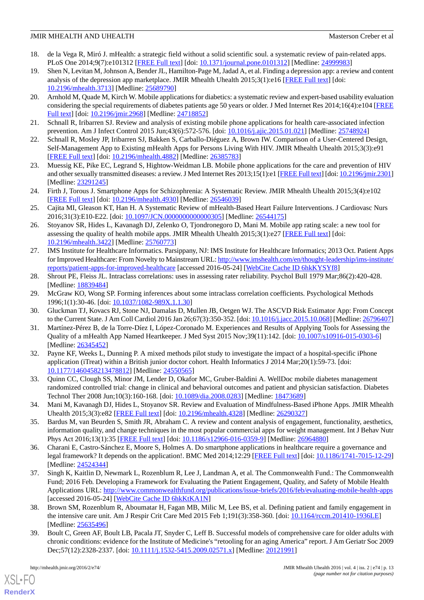## JMIR MHEALTH AND UHEALTH Masterson Creber et al

- <span id="page-12-0"></span>18. de la Vega R, Miró J. mHealth: a strategic field without a solid scientific soul. a systematic review of pain-related apps. PLoS One 2014;9(7):e101312 [[FREE Full text](http://dx.plos.org/10.1371/journal.pone.0101312)] [doi: [10.1371/journal.pone.0101312\]](http://dx.doi.org/10.1371/journal.pone.0101312) [Medline: [24999983](http://www.ncbi.nlm.nih.gov/entrez/query.fcgi?cmd=Retrieve&db=PubMed&list_uids=24999983&dopt=Abstract)]
- <span id="page-12-1"></span>19. Shen N, Levitan M, Johnson A, Bender JL, Hamilton-Page M, Jadad A, et al. Finding a depression app: a review and content analysis of the depression app marketplace. JMIR Mhealth Uhealth 2015;3(1):e16 [\[FREE Full text\]](http://mhealth.jmir.org/2015/1/e16/) [doi: [10.2196/mhealth.3713](http://dx.doi.org/10.2196/mhealth.3713)] [Medline: [25689790](http://www.ncbi.nlm.nih.gov/entrez/query.fcgi?cmd=Retrieve&db=PubMed&list_uids=25689790&dopt=Abstract)]
- <span id="page-12-2"></span>20. Arnhold M, Quade M, Kirch W. Mobile applications for diabetics: a systematic review and expert-based usability evaluation considering the special requirements of diabetes patients age 50 years or older. J Med Internet Res 2014;16(4):e104 [\[FREE](http://www.jmir.org/2014/4/e104/) [Full text\]](http://www.jmir.org/2014/4/e104/) [doi: [10.2196/jmir.2968](http://dx.doi.org/10.2196/jmir.2968)] [Medline: [24718852\]](http://www.ncbi.nlm.nih.gov/entrez/query.fcgi?cmd=Retrieve&db=PubMed&list_uids=24718852&dopt=Abstract)
- <span id="page-12-4"></span><span id="page-12-3"></span>21. Schnall R, Iribarren SJ. Review and analysis of existing mobile phone applications for health care-associated infection prevention. Am J Infect Control 2015 Jun;43(6):572-576. [doi: [10.1016/j.ajic.2015.01.021\]](http://dx.doi.org/10.1016/j.ajic.2015.01.021) [Medline: [25748924](http://www.ncbi.nlm.nih.gov/entrez/query.fcgi?cmd=Retrieve&db=PubMed&list_uids=25748924&dopt=Abstract)]
- <span id="page-12-5"></span>22. Schnall R, Mosley JP, Iribarren SJ, Bakken S, Carballo-Diéguez A, Brown IW. Comparison of a User-Centered Design, Self-Management App to Existing mHealth Apps for Persons Living With HIV. JMIR Mhealth Uhealth 2015;3(3):e91 [[FREE Full text](http://mhealth.jmir.org/2015/3/e91/)] [doi: [10.2196/mhealth.4882\]](http://dx.doi.org/10.2196/mhealth.4882) [Medline: [26385783](http://www.ncbi.nlm.nih.gov/entrez/query.fcgi?cmd=Retrieve&db=PubMed&list_uids=26385783&dopt=Abstract)]
- <span id="page-12-6"></span>23. Muessig KE, Pike EC, Legrand S, Hightow-Weidman LB. Mobile phone applications for the care and prevention of HIV and other sexually transmitted diseases: a review. J Med Internet Res 2013;15(1):e1 [\[FREE Full text\]](http://www.jmir.org/2013/1/e1/) [doi: [10.2196/jmir.2301\]](http://dx.doi.org/10.2196/jmir.2301) [Medline: [23291245](http://www.ncbi.nlm.nih.gov/entrez/query.fcgi?cmd=Retrieve&db=PubMed&list_uids=23291245&dopt=Abstract)]
- <span id="page-12-7"></span>24. Firth J, Torous J. Smartphone Apps for Schizophrenia: A Systematic Review. JMIR Mhealth Uhealth 2015;3(4):e102 [[FREE Full text](http://mhealth.jmir.org/2015/4/e102/)] [doi: [10.2196/mhealth.4930\]](http://dx.doi.org/10.2196/mhealth.4930) [Medline: [26546039](http://www.ncbi.nlm.nih.gov/entrez/query.fcgi?cmd=Retrieve&db=PubMed&list_uids=26546039&dopt=Abstract)]
- <span id="page-12-8"></span>25. Cajita MI, Gleason KT, Han H. A Systematic Review of mHealth-Based Heart Failure Interventions. J Cardiovasc Nurs 2016;31(3):E10-E22. [doi: [10.1097/JCN.0000000000000305](http://dx.doi.org/10.1097/JCN.0000000000000305)] [Medline: [26544175](http://www.ncbi.nlm.nih.gov/entrez/query.fcgi?cmd=Retrieve&db=PubMed&list_uids=26544175&dopt=Abstract)]
- <span id="page-12-9"></span>26. Stoyanov SR, Hides L, Kavanagh DJ, Zelenko O, Tjondronegoro D, Mani M. Mobile app rating scale: a new tool for assessing the quality of health mobile apps. JMIR Mhealth Uhealth  $2015;3(1):e27$  [\[FREE Full text\]](http://mhealth.jmir.org/2015/1/e27/) [doi: [10.2196/mhealth.3422](http://dx.doi.org/10.2196/mhealth.3422)] [Medline: [25760773](http://www.ncbi.nlm.nih.gov/entrez/query.fcgi?cmd=Retrieve&db=PubMed&list_uids=25760773&dopt=Abstract)]
- <span id="page-12-10"></span>27. IMS Institute for Healthcare Informatics. Parsippany, NJ: IMS Institute for Healthcare Informatics; 2013 Oct. Patient Apps for Improved Healthcare: From Novelty to Mainstream URL: [http://www.imshealth.com/en/thought-leadership/ims-institute/](http://www.imshealth.com/en/thought-leadership/ims-institute/reports/patient-apps-for-improved-healthcare) [reports/patient-apps-for-improved-healthcare](http://www.imshealth.com/en/thought-leadership/ims-institute/reports/patient-apps-for-improved-healthcare) [accessed 2016-05-24] [[WebCite Cache ID 6hkKYSYf8\]](http://www.webcitation.org/

                                6hkKYSYf8)
- <span id="page-12-12"></span><span id="page-12-11"></span>28. Shrout PE, Fleiss JL. Intraclass correlations: uses in assessing rater reliability. Psychol Bull 1979 Mar;86(2):420-428. [Medline: [18839484](http://www.ncbi.nlm.nih.gov/entrez/query.fcgi?cmd=Retrieve&db=PubMed&list_uids=18839484&dopt=Abstract)]
- <span id="page-12-14"></span>29. McGraw KO, Wong SP. Forming inferences about some intraclass correlation coefficients. Psychological Methods 1996;1(1):30-46. [doi: [10.1037/1082-989X.1.1.30\]](http://dx.doi.org/10.1037/1082-989X.1.1.30)
- <span id="page-12-13"></span>30. Gluckman TJ, Kovacs RJ, Stone NJ, Damalas D, Mullen JB, Oetgen WJ. The ASCVD Risk Estimator App: From Concept to the Current State. J Am Coll Cardiol 2016 Jan 26;67(3):350-352. [doi: [10.1016/j.jacc.2015.10.068\]](http://dx.doi.org/10.1016/j.jacc.2015.10.068) [Medline: [26796407](http://www.ncbi.nlm.nih.gov/entrez/query.fcgi?cmd=Retrieve&db=PubMed&list_uids=26796407&dopt=Abstract)]
- 31. Martínez-Pérez B, de la Torre-Díez I, López-Coronado M. Experiences and Results of Applying Tools for Assessing the Quality of a mHealth App Named Heartkeeper. J Med Syst 2015 Nov;39(11):142. [doi: [10.1007/s10916-015-0303-6](http://dx.doi.org/10.1007/s10916-015-0303-6)] [Medline: [26345452](http://www.ncbi.nlm.nih.gov/entrez/query.fcgi?cmd=Retrieve&db=PubMed&list_uids=26345452&dopt=Abstract)]
- <span id="page-12-16"></span><span id="page-12-15"></span>32. Payne KF, Weeks L, Dunning P. A mixed methods pilot study to investigate the impact of a hospital-specific iPhone application (iTreat) within a British junior doctor cohort. Health Informatics J 2014 Mar;20(1):59-73. [doi: [10.1177/1460458213478812\]](http://dx.doi.org/10.1177/1460458213478812) [Medline: [24550565\]](http://www.ncbi.nlm.nih.gov/entrez/query.fcgi?cmd=Retrieve&db=PubMed&list_uids=24550565&dopt=Abstract)
- <span id="page-12-17"></span>33. Quinn CC, Clough SS, Minor JM, Lender D, Okafor MC, Gruber-Baldini A. WellDoc mobile diabetes management randomized controlled trial: change in clinical and behavioral outcomes and patient and physician satisfaction. Diabetes Technol Ther 2008 Jun;10(3):160-168. [doi: [10.1089/dia.2008.0283](http://dx.doi.org/10.1089/dia.2008.0283)] [Medline: [18473689](http://www.ncbi.nlm.nih.gov/entrez/query.fcgi?cmd=Retrieve&db=PubMed&list_uids=18473689&dopt=Abstract)]
- <span id="page-12-18"></span>34. Mani M, Kavanagh DJ, Hides L, Stoyanov SR. Review and Evaluation of Mindfulness-Based iPhone Apps. JMIR Mhealth Uhealth 2015;3(3):e82 [\[FREE Full text\]](http://mhealth.jmir.org/2015/3/e82/) [doi: [10.2196/mhealth.4328\]](http://dx.doi.org/10.2196/mhealth.4328) [Medline: [26290327\]](http://www.ncbi.nlm.nih.gov/entrez/query.fcgi?cmd=Retrieve&db=PubMed&list_uids=26290327&dopt=Abstract)
- <span id="page-12-19"></span>35. Bardus M, van Beurden S, Smith JR, Abraham C. A review and content analysis of engagement, functionality, aesthetics, information quality, and change techniques in the most popular commercial apps for weight management. Int J Behav Nutr Phys Act 2016;13(1):35 [\[FREE Full text\]](http://ijbnpa.biomedcentral.com/articles/10.1186/s12966-016-0359-9) [doi: [10.1186/s12966-016-0359-9](http://dx.doi.org/10.1186/s12966-016-0359-9)] [Medline: [26964880\]](http://www.ncbi.nlm.nih.gov/entrez/query.fcgi?cmd=Retrieve&db=PubMed&list_uids=26964880&dopt=Abstract)
- <span id="page-12-20"></span>36. Charani E, Castro-Sánchez E, Moore S, Holmes A. Do smartphone applications in healthcare require a governance and legal framework? It depends on the application!. BMC Med 2014;12:29 [\[FREE Full text](http://www.biomedcentral.com/1741-7015/12/29)] [doi: [10.1186/1741-7015-12-29](http://dx.doi.org/10.1186/1741-7015-12-29)] [Medline: [24524344](http://www.ncbi.nlm.nih.gov/entrez/query.fcgi?cmd=Retrieve&db=PubMed&list_uids=24524344&dopt=Abstract)]
- <span id="page-12-21"></span>37. Singh K, Kaitlin D, Newmark L, Rozenblum R, Lee J, Landman A, et al. The Commonwealth Fund.: The Commonwealth Fund; 2016 Feb. Developing a Framework for Evaluating the Patient Engagement, Quality, and Safety of Mobile Health Applications URL:<http://www.commonwealthfund.org/publications/issue-briefs/2016/feb/evaluating-mobile-health-apps> [accessed 2016-05-24] [\[WebCite Cache ID 6hkKtKA1N\]](http://www.webcitation.org/

                                6hkKtKA1N)
- 38. Brown SM, Rozenblum R, Aboumatar H, Fagan MB, Milic M, Lee BS, et al. Defining patient and family engagement in the intensive care unit. Am J Respir Crit Care Med 2015 Feb 1;191(3):358-360. [doi: [10.1164/rccm.201410-1936LE](http://dx.doi.org/10.1164/rccm.201410-1936LE)] [Medline: [25635496](http://www.ncbi.nlm.nih.gov/entrez/query.fcgi?cmd=Retrieve&db=PubMed&list_uids=25635496&dopt=Abstract)]
- 39. Boult C, Green AF, Boult LB, Pacala JT, Snyder C, Leff B. Successful models of comprehensive care for older adults with chronic conditions: evidence for the Institute of Medicine's "retooling for an aging America" report. J Am Geriatr Soc 2009 Dec;57(12):2328-2337. [doi: [10.1111/j.1532-5415.2009.02571.x\]](http://dx.doi.org/10.1111/j.1532-5415.2009.02571.x) [Medline: [20121991\]](http://www.ncbi.nlm.nih.gov/entrez/query.fcgi?cmd=Retrieve&db=PubMed&list_uids=20121991&dopt=Abstract)